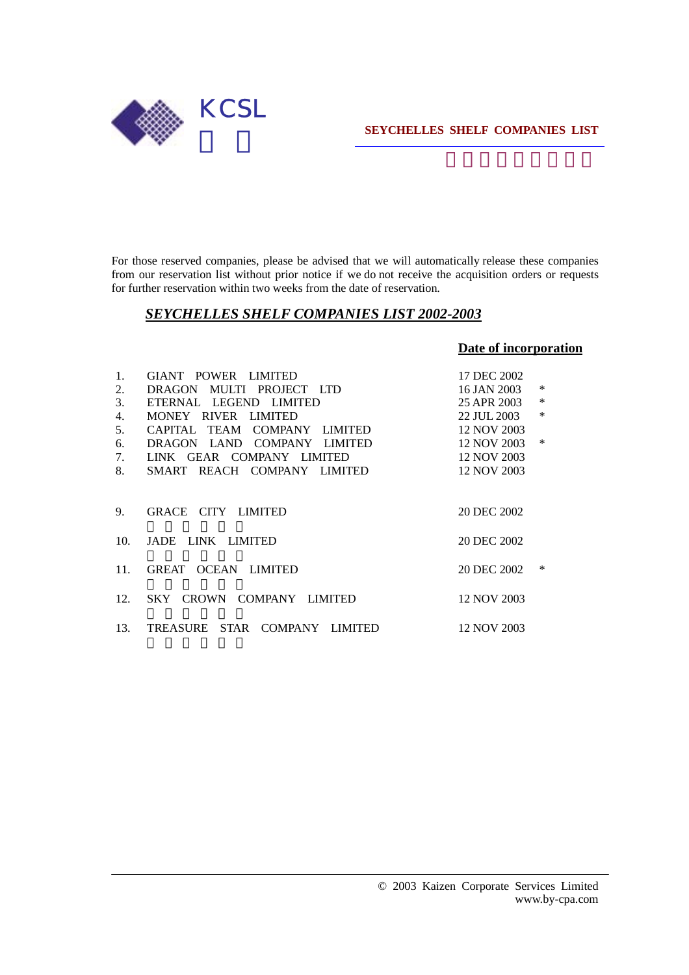

For those reserved companies, please be advised that we will automatically release these companies from our reservation list without prior notice if we do not receive the acquisition orders or requests for further reservation within two weeks from the date of reservation.

## *SEYCHELLES SHELF COMPANIES LIST 2002-2003*

## **Date of incorporation**

| 1.  | GIANT POWER LIMITED           | 17 DEC 2002   |        |
|-----|-------------------------------|---------------|--------|
| 2.  | DRAGON MULTI PROJECT LTD      | 16 JAN 2003   | $\ast$ |
| 3.  | ETERNAL LEGEND LIMITED        | 25 APR 2003   | $\ast$ |
| 4.  | MONEY RIVER LIMITED           | 22 JUL 2003   | $\ast$ |
| 5.  | CAPITAL TEAM COMPANY LIMITED  | 12 NOV 2003   |        |
| 6.  | DRAGON LAND COMPANY LIMITED   | 12 NOV 2003 * |        |
| 7.  | LINK GEAR COMPANY LIMITED     | 12 NOV 2003   |        |
| 8.  | SMART REACH COMPANY LIMITED   | 12 NOV 2003   |        |
| 9.  | GRACE CITY LIMITED            | 20 DEC 2002   |        |
| 10. | JADE LINK LIMITED             | 20 DEC 2002   |        |
| 11. | GREAT OCEAN LIMITED           | 20 DEC 2002   | $\ast$ |
| 12. | SKY CROWN COMPANY LIMITED     | 12 NOV 2003   |        |
| 13. | TREASURE STAR COMPANY LIMITED | 12 NOV 2003   |        |